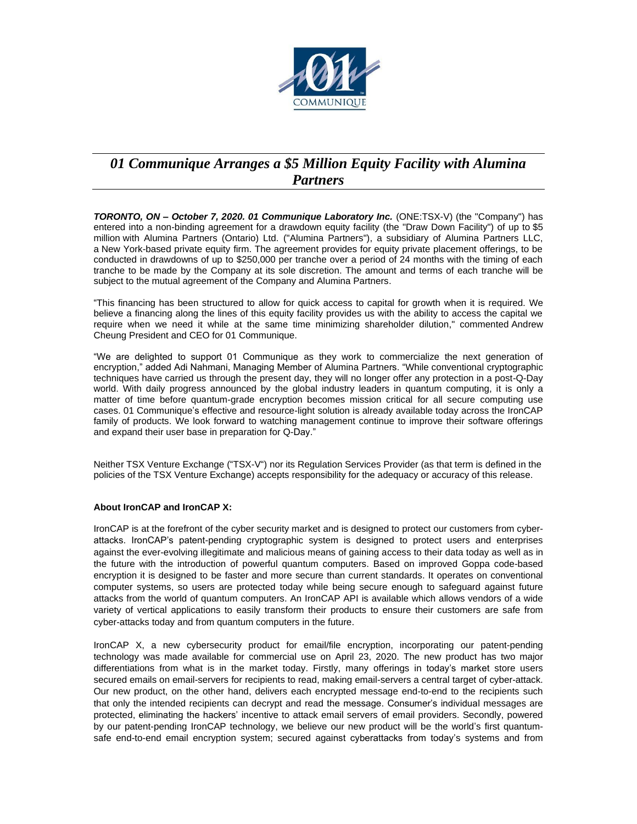

## *01 Communique Arranges a \$5 Million Equity Facility with Alumina Partners*

*TORONTO, ON – October 7, 2020. 01 Communique Laboratory Inc.* (ONE:TSX-V) (the "Company") has entered into a non-binding agreement for a drawdown equity facility (the "Draw Down Facility") of up to \$5 million with Alumina Partners (Ontario) Ltd. ("Alumina Partners"), a subsidiary of Alumina Partners LLC, a New York-based private equity firm. The agreement provides for equity private placement offerings, to be conducted in drawdowns of up to \$250,000 per tranche over a period of 24 months with the timing of each tranche to be made by the Company at its sole discretion. The amount and terms of each tranche will be subject to the mutual agreement of the Company and Alumina Partners.

"This financing has been structured to allow for quick access to capital for growth when it is required. We believe a financing along the lines of this equity facility provides us with the ability to access the capital we require when we need it while at the same time minimizing shareholder dilution," commented Andrew Cheung President and CEO for 01 Communique.

"We are delighted to support 01 Communique as they work to commercialize the next generation of encryption," added Adi Nahmani, Managing Member of Alumina Partners. "While conventional cryptographic techniques have carried us through the present day, they will no longer offer any protection in a post-Q-Day world. With daily progress announced by the global industry leaders in quantum computing, it is only a matter of time before quantum-grade encryption becomes mission critical for all secure computing use cases. 01 Communique's effective and resource-light solution is already available today across the IronCAP family of products. We look forward to watching management continue to improve their software offerings and expand their user base in preparation for Q-Day."

Neither TSX Venture Exchange ("TSX-V") nor its Regulation Services Provider (as that term is defined in the policies of the TSX Venture Exchange) accepts responsibility for the adequacy or accuracy of this release.

## **About IronCAP and IronCAP X:**

IronCAP is at the forefront of the cyber security market and is designed to protect our customers from cyberattacks. IronCAP's patent-pending cryptographic system is designed to protect users and enterprises against the ever-evolving illegitimate and malicious means of gaining access to their data today as well as in the future with the introduction of powerful quantum computers. Based on improved Goppa code-based encryption it is designed to be faster and more secure than current standards. It operates on conventional computer systems, so users are protected today while being secure enough to safeguard against future attacks from the world of quantum computers. An IronCAP API is available which allows vendors of a wide variety of vertical applications to easily transform their products to ensure their customers are safe from cyber-attacks today and from quantum computers in the future.

IronCAP X, a new cybersecurity product for email/file encryption, incorporating our patent-pending technology was made available for commercial use on April 23, 2020. The new product has two major differentiations from what is in the market today. Firstly, many offerings in today's market store users secured emails on email-servers for recipients to read, making email-servers a central target of cyber-attack. Our new product, on the other hand, delivers each encrypted message end-to-end to the recipients such that only the intended recipients can decrypt and read the message. Consumer's individual messages are protected, eliminating the hackers' incentive to attack email servers of email providers. Secondly, powered by our patent-pending IronCAP technology, we believe our new product will be the world's first quantumsafe end-to-end email encryption system; secured against cyberattacks from today's systems and from